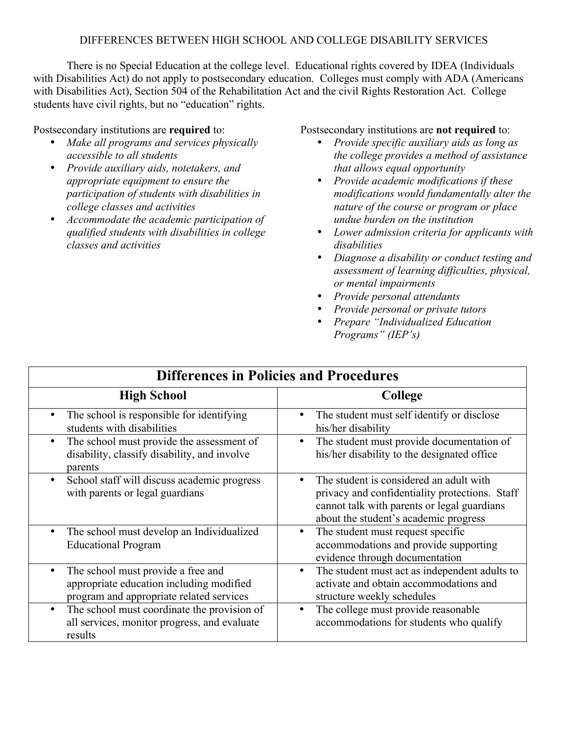## DIFFERENCES BETWEEN HIGH SCHOOL AND COLLEGE DISABILITY SERVICES

There is no Special Education at the college level. Educational rights covered by IDEA (Individuals with Disabilities Act) do not apply to postsecondary education. Colleges must comply with ADA (Americans with Disabilities Act), Section 504 of the Rehabilitation Act and the civil Rights Restoration Act. College students have civil rights, but no "education" rights.

## Postsecondary institutions are **required** to:

- *Make all programs and services physically accessible to all students*
- *Provide auxiliary aids, notetakers, and appropriate equipment to ensure the participation of students with disabilities in college classes and activities*
- *Accommodate the academic participation of qualified students with disabilities in college classes and activities*

## Postsecondary institutions are **not required** to:

- *Provide specific auxiliary aids as long as the college provides a method of assistance that allows equal opportunity*
- *Provide academic modifications if these modifications would fundamentally alter the nature of the course or program or place undue burden on the institution*
- *Lower admission criteria for applicants with disabilities*
- *Diagnose a disability or conduct testing and assessment of learning difficulties, physical, or mental impairments*
- *Provide personal attendants*
- *Provide personal or private tutors*
- *Prepare "Individualized Education Programs" (IEP's)*

| <b>Differences in Policies and Procedures</b>                                                                              |                                                                                                                                                                                   |  |
|----------------------------------------------------------------------------------------------------------------------------|-----------------------------------------------------------------------------------------------------------------------------------------------------------------------------------|--|
| <b>High School</b>                                                                                                         | <b>College</b>                                                                                                                                                                    |  |
| The school is responsible for identifying<br>$\bullet$<br>students with disabilities                                       | The student must self identify or disclose<br>his/her disability                                                                                                                  |  |
| The school must provide the assessment of<br>$\bullet$<br>disability, classify disability, and involve<br>parents          | The student must provide documentation of<br>his/her disability to the designated office                                                                                          |  |
| School staff will discuss academic progress<br>with parents or legal guardians                                             | The student is considered an adult with<br>privacy and confidentiality protections. Staff<br>cannot talk with parents or legal guardians<br>about the student's academic progress |  |
| The school must develop an Individualized<br><b>Educational Program</b>                                                    | The student must request specific<br>accommodations and provide supporting<br>evidence through documentation                                                                      |  |
| The school must provide a free and<br>appropriate education including modified<br>program and appropriate related services | The student must act as independent adults to<br>activate and obtain accommodations and<br>structure weekly schedules                                                             |  |
| The school must coordinate the provision of<br>$\bullet$<br>all services, monitor progress, and evaluate<br>results        | The college must provide reasonable<br>accommodations for students who qualify                                                                                                    |  |